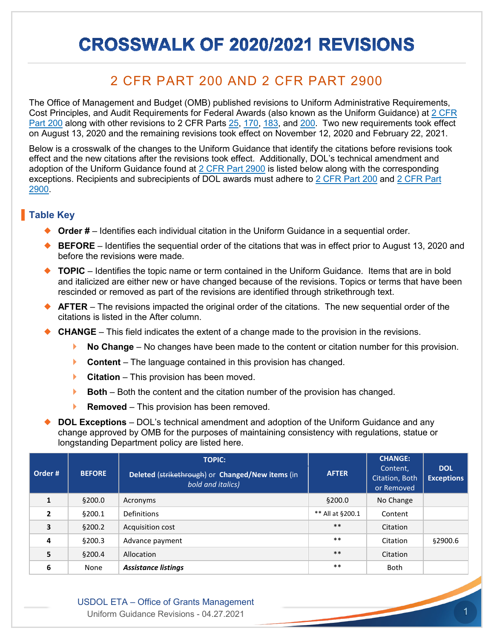## **CROSSWALK OF 2020/2021 REVISIONS**

## 2 CFR PART 200 AND 2 CFR PART 2900

The Office of Management and Budget (OMB) published revisions to Uniform Administrative Requirements, Cost Principles, and Audit Requirements for Federal Awards (also known as the Uniform Guidance) at [2 CFR](https://www.ecfr.gov/cgi-bin/text-idx?SID=bc4078d0339e9fe39a5319c5509b9708&mc=true&node=pt2.1.200&rgn=div5)  [Part 200](https://www.ecfr.gov/cgi-bin/text-idx?SID=bc4078d0339e9fe39a5319c5509b9708&mc=true&node=pt2.1.200&rgn=div5) along with other revisions to 2 CFR Parts [25,](https://www.ecfr.gov/cgi-bin/text-idx?SID=bc4078d0339e9fe39a5319c5509b9708&mc=true&node=pt2.1.25&rgn=div5) [170,](https://www.ecfr.gov/cgi-bin/text-idx?SID=bc4078d0339e9fe39a5319c5509b9708&mc=true&node=pt2.1.170&rgn=div5) [183,](https://www.ecfr.gov/cgi-bin/text-idx?SID=bc4078d0339e9fe39a5319c5509b9708&mc=true&node=pt2.1.183&rgn=div5) and [200.](https://www.ecfr.gov/cgi-bin/text-idx?SID=bc4078d0339e9fe39a5319c5509b9708&mc=true&node=pt2.1.200&rgn=div5) Two new requirements took effect on August 13, 2020 and the remaining revisions took effect on November 12, 2020 and February 22, 2021.

Below is a crosswalk of the changes to the Uniform Guidance that identify the citations before revisions took effect and the new citations after the revisions took effect. Additionally, DOL's technical amendment and adoption of the Uniform Guidance found at  $2$  CFR Part 2900 is listed below along with the corresponding exceptions. Recipients and subrecipients of DOL awards must adhere to [2 CFR Part 200](https://www.ecfr.gov/cgi-bin/text-idx?SID=bc4078d0339e9fe39a5319c5509b9708&mc=true&node=pt2.1.200&rgn=div5) and [2 CFR Part](https://www.ecfr.gov/cgi-bin/text-idx?SID=44568ef15622cc5e0dfb901bd393be12&mc=true&node=pt2.1.2900&rgn=div5)  [2900.](https://www.ecfr.gov/cgi-bin/text-idx?SID=44568ef15622cc5e0dfb901bd393be12&mc=true&node=pt2.1.2900&rgn=div5)

## **Table Key**

- ◆ **Order #** Identifies each individual citation in the Uniform Guidance in a sequential order.
- ◆ **BEFORE** Identifies the sequential order of the citations that was in effect prior to August 13, 2020 and before the revisions were made.
- ◆ **TOPIC** Identifies the topic name or term contained in the Uniform Guidance. Items that are in bold and italicized are either new or have changed because of the revisions. Topics or terms that have been rescinded or removed as part of the revisions are identified through strikethrough text.
- **AFTER** The revisions impacted the original order of the citations. The new sequential order of the citations is listed in the After column.
- **CHANGE** This field indicates the extent of a change made to the provision in the revisions.
	- **No Change** No changes have been made to the content or citation number for this provision.
	- **Content** The language contained in this provision has changed.
	- **Citation** This provision has been moved.
	- **Both** Both the content and the citation number of the provision has changed.
	- **Removed**  This provision has been removed.
- **DOL Exceptions** DOL's technical amendment and adoption of the Uniform Guidance and any change approved by OMB for the purposes of maintaining consistency with regulations, statue or longstanding Department policy are listed here.

| Order#       | <b>BEFORE</b> | <b>TOPIC:</b><br>Deleted (strikethrough) or Changed/New items (in<br>bold and italics) | <b>AFTER</b>     | <b>CHANGE:</b><br>Content,<br>Citation, Both<br>or Removed | <b>DOL</b><br><b>Exceptions</b> |
|--------------|---------------|----------------------------------------------------------------------------------------|------------------|------------------------------------------------------------|---------------------------------|
| $\mathbf{1}$ | §200.0        | Acronyms                                                                               | \$200.0          | No Change                                                  |                                 |
| 2            | §200.1        | Definitions                                                                            | ** All at §200.1 | Content                                                    |                                 |
| 3            | §200.2        | Acquisition cost                                                                       | $***$            | Citation                                                   |                                 |
| 4            | §200.3        | Advance payment                                                                        | $***$            | Citation                                                   | \$2900.6                        |
| 5            | §200.4        | Allocation                                                                             | $***$            | Citation                                                   |                                 |
| 6            | None          | <b>Assistance listings</b>                                                             | $***$            | Both                                                       |                                 |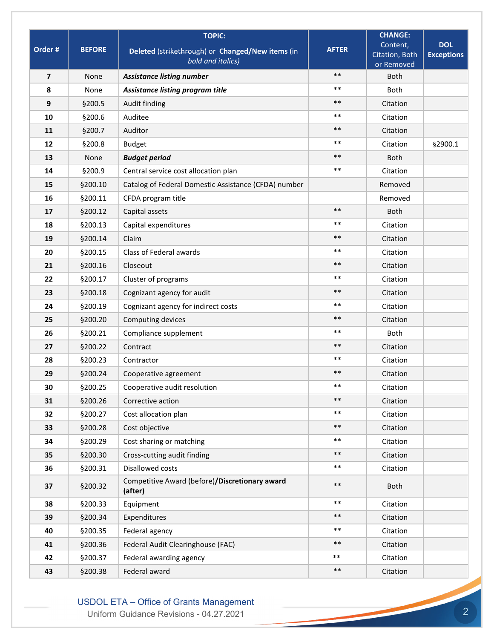|                |               | <b>TOPIC:</b>                                                         |              | <b>CHANGE:</b>                           |                                 |
|----------------|---------------|-----------------------------------------------------------------------|--------------|------------------------------------------|---------------------------------|
| Order #        | <b>BEFORE</b> | Deleted (strikethrough) or Changed/New items (in<br>bold and italics) | <b>AFTER</b> | Content,<br>Citation, Both<br>or Removed | <b>DOL</b><br><b>Exceptions</b> |
| $\overline{7}$ | None          | <b>Assistance listing number</b>                                      | $***$        | <b>Both</b>                              |                                 |
| 8              | None          | Assistance listing program title                                      | $***$        | <b>Both</b>                              |                                 |
| 9              | §200.5        | Audit finding                                                         | $***$        | Citation                                 |                                 |
| 10             | §200.6        | Auditee                                                               | $***$        | Citation                                 |                                 |
| 11             | §200.7        | Auditor                                                               | $***$        | Citation                                 |                                 |
| 12             | §200.8        | <b>Budget</b>                                                         | $***$        | Citation                                 | §2900.1                         |
| 13             | None          | <b>Budget period</b>                                                  | $***$        | <b>Both</b>                              |                                 |
| 14             | §200.9        | Central service cost allocation plan                                  | $***$        | Citation                                 |                                 |
| 15             | §200.10       | Catalog of Federal Domestic Assistance (CFDA) number                  |              | Removed                                  |                                 |
| 16             | §200.11       | CFDA program title                                                    |              | Removed                                  |                                 |
| 17             | §200.12       | Capital assets                                                        | $***$        | <b>Both</b>                              |                                 |
| 18             | §200.13       | Capital expenditures                                                  | $***$        | Citation                                 |                                 |
| 19             | §200.14       | Claim                                                                 | $***$        | Citation                                 |                                 |
| 20             | §200.15       | Class of Federal awards                                               | $***$        | Citation                                 |                                 |
| 21             | §200.16       | Closeout                                                              | $***$        | Citation                                 |                                 |
| 22             | §200.17       | Cluster of programs                                                   | $***$        | Citation                                 |                                 |
| 23             | §200.18       | Cognizant agency for audit                                            | $***$        | Citation                                 |                                 |
| 24             | §200.19       | Cognizant agency for indirect costs                                   | $***$        | Citation                                 |                                 |
| 25             | §200.20       | Computing devices                                                     | $***$        | Citation                                 |                                 |
| 26             | §200.21       | Compliance supplement                                                 | $***$        | Both                                     |                                 |
| 27             | §200.22       | Contract                                                              | $***$        | Citation                                 |                                 |
| 28             | §200.23       | Contractor                                                            | $***$        | Citation                                 |                                 |
| 29             | §200.24       | Cooperative agreement                                                 | $***$        | Citation                                 |                                 |
| 30             | §200.25       | Cooperative audit resolution                                          | $***$        | Citation                                 |                                 |
| 31             | §200.26       | Corrective action                                                     | $***$        | Citation                                 |                                 |
| 32             | §200.27       | Cost allocation plan                                                  | $***$        | Citation                                 |                                 |
| 33             | §200.28       | Cost objective                                                        | $***$        | Citation                                 |                                 |
| 34             | §200.29       | Cost sharing or matching                                              | $***$        | Citation                                 |                                 |
| 35             | §200.30       | Cross-cutting audit finding                                           | $***$        | Citation                                 |                                 |
| 36             | §200.31       | Disallowed costs                                                      | $***$        | Citation                                 |                                 |
| 37             | §200.32       | Competitive Award (before)/Discretionary award<br>(after)             | $***$        | Both                                     |                                 |
| 38             | §200.33       | Equipment                                                             | $***$        | Citation                                 |                                 |
| 39             | §200.34       | Expenditures                                                          | $***$        | Citation                                 |                                 |
| 40             | §200.35       | Federal agency                                                        | $***$        | Citation                                 |                                 |
| 41             | §200.36       | Federal Audit Clearinghouse (FAC)                                     | $***$        | Citation                                 |                                 |
| 42             | §200.37       | Federal awarding agency                                               | $***$        | Citation                                 |                                 |
| 43             | §200.38       | Federal award                                                         | $\ast\ast$   | Citation                                 |                                 |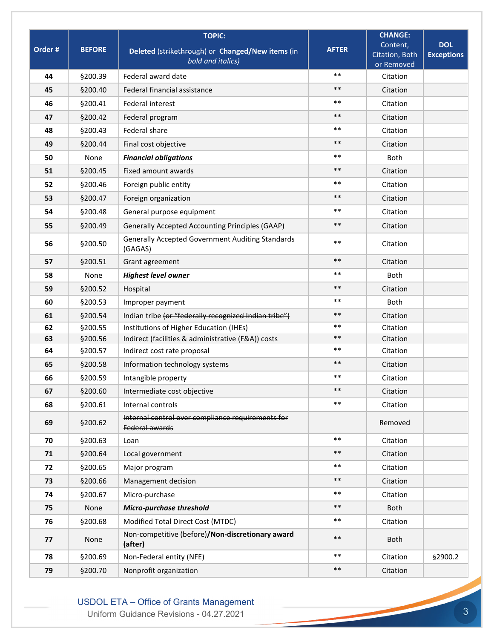|         |               | <b>TOPIC:</b>                                                         |              | <b>CHANGE:</b>                           |                                 |
|---------|---------------|-----------------------------------------------------------------------|--------------|------------------------------------------|---------------------------------|
| Order # | <b>BEFORE</b> | Deleted (strikethrough) or Changed/New items (in<br>bold and italics) | <b>AFTER</b> | Content,<br>Citation, Both<br>or Removed | <b>DOL</b><br><b>Exceptions</b> |
| 44      | §200.39       | Federal award date                                                    | $***$        | Citation                                 |                                 |
| 45      | §200.40       | Federal financial assistance                                          | $***$        | Citation                                 |                                 |
| 46      | §200.41       | <b>Federal interest</b>                                               | $***$        | Citation                                 |                                 |
| 47      | §200.42       | Federal program                                                       | $***$        | Citation                                 |                                 |
| 48      | §200.43       | Federal share                                                         | $***$        | Citation                                 |                                 |
| 49      | §200.44       | Final cost objective                                                  | $***$        | Citation                                 |                                 |
| 50      | None          | <b>Financial obligations</b>                                          | $***$        | <b>Both</b>                              |                                 |
| 51      | §200.45       | Fixed amount awards                                                   | $***$        | Citation                                 |                                 |
| 52      | §200.46       | Foreign public entity                                                 | $***$        | Citation                                 |                                 |
| 53      | §200.47       | Foreign organization                                                  | $***$        | Citation                                 |                                 |
| 54      | §200.48       | General purpose equipment                                             | $***$        | Citation                                 |                                 |
| 55      | §200.49       | <b>Generally Accepted Accounting Principles (GAAP)</b>                | $***$        | Citation                                 |                                 |
| 56      | §200.50       | <b>Generally Accepted Government Auditing Standards</b><br>(GAGAS)    | $***$        | Citation                                 |                                 |
| 57      | §200.51       | Grant agreement                                                       | $***$        | Citation                                 |                                 |
| 58      | None          | <b>Highest level owner</b>                                            | $***$        | <b>Both</b>                              |                                 |
| 59      | §200.52       | Hospital                                                              | $***$        | Citation                                 |                                 |
| 60      | §200.53       | Improper payment                                                      | $***$        | <b>Both</b>                              |                                 |
| 61      | §200.54       | Indian tribe (or "federally recognized Indian tribe")                 | $***$        | Citation                                 |                                 |
| 62      | §200.55       | Institutions of Higher Education (IHEs)                               | $***$        | Citation                                 |                                 |
| 63      | §200.56       | Indirect (facilities & administrative (F&A)) costs                    | $***$        | Citation                                 |                                 |
| 64      | §200.57       | Indirect cost rate proposal                                           | $***$        | Citation                                 |                                 |
| 65      | §200.58       | Information technology systems                                        | $***$        | Citation                                 |                                 |
| 66      | §200.59       | Intangible property                                                   | $***$        | Citation                                 |                                 |
| 67      | §200.60       | Intermediate cost objective                                           | $***$        | Citation                                 |                                 |
| 68      | §200.61       | Internal controls                                                     | $***$        | Citation                                 |                                 |
| 69      | §200.62       | Internal control over compliance requirements for<br>Federal awards   |              | Removed                                  |                                 |
| 70      | §200.63       | Loan                                                                  | $***$        | Citation                                 |                                 |
| 71      | §200.64       | Local government                                                      | $***$        | Citation                                 |                                 |
| 72      | §200.65       | Major program                                                         | $***$        | Citation                                 |                                 |
| 73      | §200.66       | Management decision                                                   | $***$        | Citation                                 |                                 |
| 74      | §200.67       | Micro-purchase                                                        | $***$        | Citation                                 |                                 |
| 75      | None          | Micro-purchase threshold                                              | $***$        | Both                                     |                                 |
| 76      | §200.68       | Modified Total Direct Cost (MTDC)                                     | $***$        | Citation                                 |                                 |
| 77      | None          | Non-competitive (before)/Non-discretionary award<br>(after)           | $***$        | Both                                     |                                 |
| 78      | §200.69       | Non-Federal entity (NFE)                                              | $***$        | Citation                                 | §2900.2                         |
| 79      | §200.70       | Nonprofit organization                                                | $***$        | Citation                                 |                                 |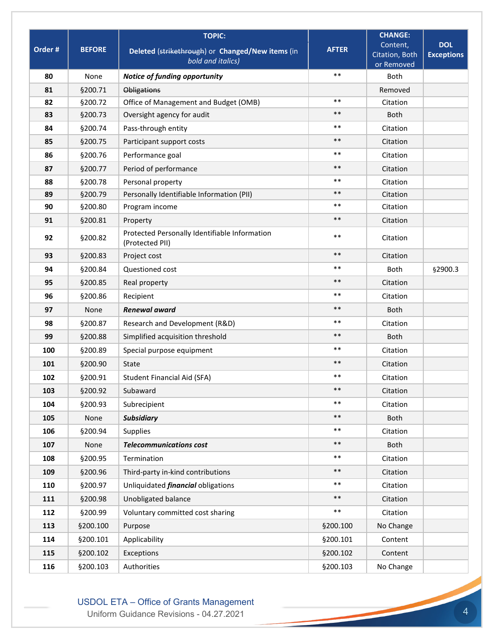|         |               | <b>TOPIC:</b>                                                    |              | <b>CHANGE:</b>               |                   |
|---------|---------------|------------------------------------------------------------------|--------------|------------------------------|-------------------|
| Order # | <b>BEFORE</b> | Deleted (strikethrough) or Changed/New items (in                 | <b>AFTER</b> | Content,                     | <b>DOL</b>        |
|         |               | bold and italics)                                                |              | Citation, Both<br>or Removed | <b>Exceptions</b> |
| 80      | None          | Notice of funding opportunity                                    | $***$        | <b>Both</b>                  |                   |
| 81      | §200.71       | <b>Obligations</b>                                               |              | Removed                      |                   |
| 82      | §200.72       | Office of Management and Budget (OMB)                            | $***$        | Citation                     |                   |
| 83      | §200.73       | Oversight agency for audit                                       | $***$        | <b>Both</b>                  |                   |
| 84      | §200.74       | Pass-through entity                                              | $***$        | Citation                     |                   |
| 85      | §200.75       | Participant support costs                                        | $***$        | Citation                     |                   |
| 86      | §200.76       | Performance goal                                                 | $***$        | Citation                     |                   |
| 87      | §200.77       | Period of performance                                            | $***$        | Citation                     |                   |
| 88      | §200.78       | Personal property                                                | $***$        | Citation                     |                   |
| 89      | §200.79       | Personally Identifiable Information (PII)                        | $***$        | Citation                     |                   |
| 90      | §200.80       | Program income                                                   | $***$        | Citation                     |                   |
| 91      | §200.81       | Property                                                         | $***$        | Citation                     |                   |
| 92      | §200.82       | Protected Personally Identifiable Information<br>(Protected PII) | $***$        | Citation                     |                   |
| 93      | §200.83       | Project cost                                                     | $***$        | Citation                     |                   |
| 94      | §200.84       | Questioned cost                                                  | $***$        | <b>Both</b>                  | §2900.3           |
| 95      | §200.85       | Real property                                                    | $***$        | Citation                     |                   |
| 96      | §200.86       | Recipient                                                        | $***$        | Citation                     |                   |
| 97      | None          | <b>Renewal award</b>                                             | $***$        | <b>Both</b>                  |                   |
| 98      | §200.87       | Research and Development (R&D)                                   | $***$        | Citation                     |                   |
| 99      | §200.88       | Simplified acquisition threshold                                 | $***$        | <b>Both</b>                  |                   |
| 100     | §200.89       | Special purpose equipment                                        | $***$        | Citation                     |                   |
| 101     | §200.90       | <b>State</b>                                                     | $***$        | Citation                     |                   |
| 102     | §200.91       | <b>Student Financial Aid (SFA)</b>                               | $***$        | Citation                     |                   |
| 103     | §200.92       | Subaward                                                         | $***$        | Citation                     |                   |
| 104     | §200.93       | Subrecipient                                                     | $***$        | Citation                     |                   |
| 105     | None          | <b>Subsidiary</b>                                                | $***$        | Both                         |                   |
| 106     | §200.94       | Supplies                                                         | $***$        | Citation                     |                   |
| 107     | None          | <b>Telecommunications cost</b>                                   | $***$        | Both                         |                   |
| 108     | §200.95       | Termination                                                      | $***$        | Citation                     |                   |
| 109     | §200.96       | Third-party in-kind contributions                                | $***$        | Citation                     |                   |
| 110     | §200.97       | Unliquidated <i>financial</i> obligations                        | $***$        | Citation                     |                   |
| 111     | §200.98       | Unobligated balance                                              | $***$        | Citation                     |                   |
| 112     | §200.99       | Voluntary committed cost sharing                                 | $***$        | Citation                     |                   |
| 113     | §200.100      | Purpose                                                          | §200.100     | No Change                    |                   |
| 114     | §200.101      | Applicability                                                    | §200.101     | Content                      |                   |
| 115     | §200.102      | Exceptions                                                       | §200.102     | Content                      |                   |
| 116     | §200.103      | Authorities                                                      | §200.103     | No Change                    |                   |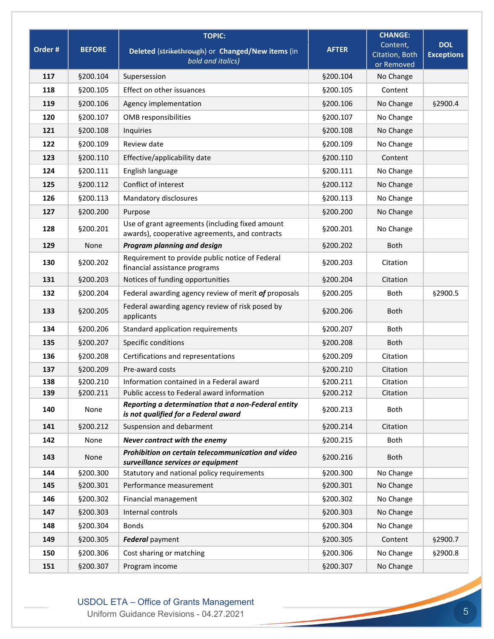|         |               | <b>TOPIC:</b>                                                                                     |              | <b>CHANGE:</b>                           |                                 |
|---------|---------------|---------------------------------------------------------------------------------------------------|--------------|------------------------------------------|---------------------------------|
| Order # | <b>BEFORE</b> | Deleted (strikethrough) or Changed/New items (in<br>bold and italics)                             | <b>AFTER</b> | Content,<br>Citation, Both<br>or Removed | <b>DOL</b><br><b>Exceptions</b> |
| 117     | §200.104      | Supersession                                                                                      | §200.104     | No Change                                |                                 |
| 118     | §200.105      | Effect on other issuances                                                                         | §200.105     | Content                                  |                                 |
| 119     | §200.106      | Agency implementation                                                                             | §200.106     | No Change                                | §2900.4                         |
| 120     | §200.107      | OMB responsibilities                                                                              | §200.107     | No Change                                |                                 |
| 121     | §200.108      | Inquiries                                                                                         | §200.108     | No Change                                |                                 |
| 122     | §200.109      | Review date                                                                                       | §200.109     | No Change                                |                                 |
| 123     | §200.110      | Effective/applicability date                                                                      | §200.110     | Content                                  |                                 |
| 124     | §200.111      | English language                                                                                  | §200.111     | No Change                                |                                 |
| 125     | §200.112      | Conflict of interest                                                                              | §200.112     | No Change                                |                                 |
| 126     | §200.113      | Mandatory disclosures                                                                             | §200.113     | No Change                                |                                 |
| 127     | §200.200      | Purpose                                                                                           | §200.200     | No Change                                |                                 |
| 128     | §200.201      | Use of grant agreements (including fixed amount<br>awards), cooperative agreements, and contracts | §200.201     | No Change                                |                                 |
| 129     | None          | Program planning and design                                                                       | §200.202     | Both                                     |                                 |
| 130     | §200.202      | Requirement to provide public notice of Federal<br>financial assistance programs                  | §200.203     | Citation                                 |                                 |
| 131     | §200.203      | Notices of funding opportunities                                                                  | §200.204     | Citation                                 |                                 |
| 132     | §200.204      | Federal awarding agency review of merit of proposals                                              | §200.205     | Both                                     | §2900.5                         |
| 133     | §200.205      | Federal awarding agency review of risk posed by<br>applicants                                     | §200.206     | Both                                     |                                 |
| 134     | §200.206      | Standard application requirements                                                                 | §200.207     | Both                                     |                                 |
| 135     | §200.207      | Specific conditions                                                                               | §200.208     | Both                                     |                                 |
| 136     | §200.208      | Certifications and representations                                                                | §200.209     | Citation                                 |                                 |
| 137     | §200.209      | Pre-award costs                                                                                   | §200.210     | Citation                                 |                                 |
| 138     | §200.210      | Information contained in a Federal award                                                          | §200.211     | Citation                                 |                                 |
| 139     | §200.211      | Public access to Federal award information                                                        | §200.212     | Citation                                 |                                 |
| 140     | None          | Reporting a determination that a non-Federal entity<br>is not qualified for a Federal award       | §200.213     | Both                                     |                                 |
| 141     | §200.212      | Suspension and debarment                                                                          | §200.214     | Citation                                 |                                 |
| 142     | None          | Never contract with the enemy                                                                     | §200.215     | Both                                     |                                 |
| 143     | None          | Prohibition on certain telecommunication and video<br>surveillance services or equipment          | §200.216     | <b>Both</b>                              |                                 |
| 144     | §200.300      | Statutory and national policy requirements                                                        | §200.300     | No Change                                |                                 |
| 145     | §200.301      | Performance measurement                                                                           | §200.301     | No Change                                |                                 |
| 146     | §200.302      | Financial management                                                                              | §200.302     | No Change                                |                                 |
| 147     | §200.303      | Internal controls                                                                                 | §200.303     | No Change                                |                                 |
| 148     | \$200.304     | <b>Bonds</b>                                                                                      | §200.304     | No Change                                |                                 |
| 149     | §200.305      | Federal payment                                                                                   | §200.305     | Content                                  | §2900.7                         |
| 150     | §200.306      | Cost sharing or matching                                                                          | \$200.306    | No Change                                | \$2900.8                        |
| 151     | §200.307      | Program income                                                                                    | §200.307     | No Change                                |                                 |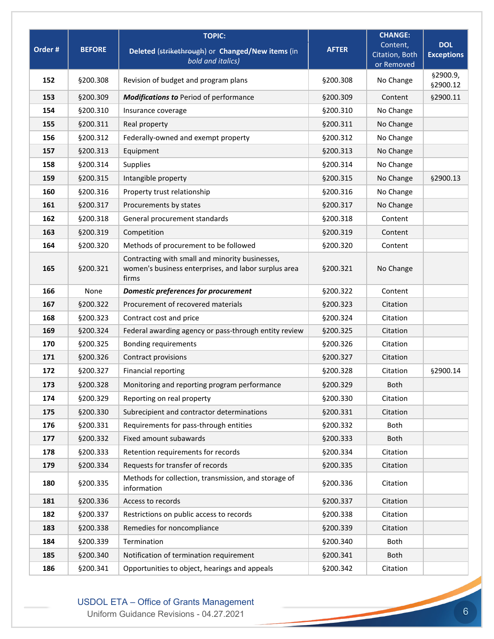|         |               | <b>TOPIC:</b>                                                                                                    |              | <b>CHANGE:</b>               |                       |
|---------|---------------|------------------------------------------------------------------------------------------------------------------|--------------|------------------------------|-----------------------|
| Order # | <b>BEFORE</b> | Deleted (strikethrough) or Changed/New items (in                                                                 | <b>AFTER</b> | Content,                     | <b>DOL</b>            |
|         |               | bold and italics)                                                                                                |              | Citation, Both<br>or Removed | <b>Exceptions</b>     |
| 152     | §200.308      | Revision of budget and program plans                                                                             | §200.308     | No Change                    | §2900.9,<br>\$2900.12 |
| 153     | §200.309      | <b>Modifications to Period of performance</b>                                                                    | §200.309     | Content                      | §2900.11              |
| 154     | §200.310      | Insurance coverage                                                                                               | §200.310     | No Change                    |                       |
| 155     | §200.311      | Real property                                                                                                    | §200.311     | No Change                    |                       |
| 156     | §200.312      | Federally-owned and exempt property                                                                              | §200.312     | No Change                    |                       |
| 157     | §200.313      | Equipment                                                                                                        | §200.313     | No Change                    |                       |
| 158     | §200.314      | Supplies                                                                                                         | §200.314     | No Change                    |                       |
| 159     | §200.315      | Intangible property                                                                                              | §200.315     | No Change                    | §2900.13              |
| 160     | §200.316      | Property trust relationship                                                                                      | §200.316     | No Change                    |                       |
| 161     | §200.317      | Procurements by states                                                                                           | §200.317     | No Change                    |                       |
| 162     | §200.318      | General procurement standards                                                                                    | §200.318     | Content                      |                       |
| 163     | §200.319      | Competition                                                                                                      | §200.319     | Content                      |                       |
| 164     | §200.320      | Methods of procurement to be followed                                                                            | §200.320     | Content                      |                       |
| 165     | §200.321      | Contracting with small and minority businesses,<br>women's business enterprises, and labor surplus area<br>firms | §200.321     | No Change                    |                       |
| 166     | None          | Domestic preferences for procurement                                                                             | §200.322     | Content                      |                       |
| 167     | §200.322      | Procurement of recovered materials                                                                               | §200.323     | Citation                     |                       |
| 168     | §200.323      | Contract cost and price                                                                                          | §200.324     | Citation                     |                       |
| 169     | §200.324      | Federal awarding agency or pass-through entity review                                                            | §200.325     | Citation                     |                       |
| 170     | §200.325      | <b>Bonding requirements</b>                                                                                      | §200.326     | Citation                     |                       |
| 171     | §200.326      | Contract provisions                                                                                              | §200.327     | Citation                     |                       |
| 172     | §200.327      | Financial reporting                                                                                              | §200.328     | Citation                     | §2900.14              |
| 173     | §200.328      | Monitoring and reporting program performance                                                                     | §200.329     | Both                         |                       |
| 174     | §200.329      | Reporting on real property                                                                                       | §200.330     | Citation                     |                       |
| 175     | §200.330      | Subrecipient and contractor determinations                                                                       | §200.331     | Citation                     |                       |
| 176     | §200.331      | Requirements for pass-through entities                                                                           | §200.332     | Both                         |                       |
| 177     | §200.332      | Fixed amount subawards                                                                                           | §200.333     | Both                         |                       |
| 178     | §200.333      | Retention requirements for records                                                                               | §200.334     | Citation                     |                       |
| 179     | §200.334      | Requests for transfer of records                                                                                 | §200.335     | Citation                     |                       |
| 180     | §200.335      | Methods for collection, transmission, and storage of<br>information                                              | §200.336     | Citation                     |                       |
| 181     | §200.336      | Access to records                                                                                                | §200.337     | Citation                     |                       |
| 182     | §200.337      | Restrictions on public access to records                                                                         | §200.338     | Citation                     |                       |
| 183     | §200.338      | Remedies for noncompliance                                                                                       | §200.339     | Citation                     |                       |
| 184     | §200.339      | Termination                                                                                                      | §200.340     | Both                         |                       |
| 185     | §200.340      | Notification of termination requirement                                                                          | §200.341     | Both                         |                       |
| 186     | §200.341      | Opportunities to object, hearings and appeals                                                                    | §200.342     | Citation                     |                       |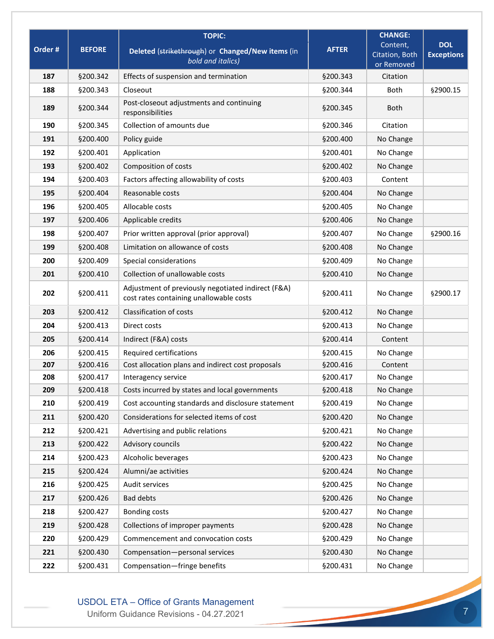|         |               | <b>TOPIC:</b>                                                                                 |              | <b>CHANGE:</b>                           |                                 |
|---------|---------------|-----------------------------------------------------------------------------------------------|--------------|------------------------------------------|---------------------------------|
| Order # | <b>BEFORE</b> | Deleted (strikethrough) or Changed/New items (in<br>bold and italics)                         | <b>AFTER</b> | Content,<br>Citation, Both<br>or Removed | <b>DOL</b><br><b>Exceptions</b> |
| 187     | §200.342      | Effects of suspension and termination                                                         | §200.343     | Citation                                 |                                 |
| 188     | §200.343      | Closeout                                                                                      | §200.344     | <b>Both</b>                              | §2900.15                        |
| 189     | §200.344      | Post-closeout adjustments and continuing<br>responsibilities                                  | §200.345     | <b>Both</b>                              |                                 |
| 190     | §200.345      | Collection of amounts due                                                                     | §200.346     | Citation                                 |                                 |
| 191     | §200.400      | Policy guide                                                                                  | §200.400     | No Change                                |                                 |
| 192     | §200.401      | Application                                                                                   | §200.401     | No Change                                |                                 |
| 193     | §200.402      | Composition of costs                                                                          | §200.402     | No Change                                |                                 |
| 194     | §200.403      | Factors affecting allowability of costs                                                       | §200.403     | Content                                  |                                 |
| 195     | §200.404      | Reasonable costs                                                                              | §200.404     | No Change                                |                                 |
| 196     | §200.405      | Allocable costs                                                                               | §200.405     | No Change                                |                                 |
| 197     | §200.406      | Applicable credits                                                                            | §200.406     | No Change                                |                                 |
| 198     | §200.407      | Prior written approval (prior approval)                                                       | §200.407     | No Change                                | §2900.16                        |
| 199     | §200.408      | Limitation on allowance of costs                                                              | \$200.408    | No Change                                |                                 |
| 200     | §200.409      | Special considerations                                                                        | §200.409     | No Change                                |                                 |
| 201     | §200.410      | Collection of unallowable costs                                                               | §200.410     | No Change                                |                                 |
| 202     | §200.411      | Adjustment of previously negotiated indirect (F&A)<br>cost rates containing unallowable costs | §200.411     | No Change                                | §2900.17                        |
| 203     | §200.412      | Classification of costs                                                                       | §200.412     | No Change                                |                                 |
| 204     | §200.413      | Direct costs                                                                                  | §200.413     | No Change                                |                                 |
| 205     | §200.414      | Indirect (F&A) costs                                                                          | §200.414     | Content                                  |                                 |
| 206     | §200.415      | Required certifications                                                                       | §200.415     | No Change                                |                                 |
| 207     | §200.416      | Cost allocation plans and indirect cost proposals                                             | §200.416     | Content                                  |                                 |
| 208     | §200.417      | Interagency service                                                                           | §200.417     | No Change                                |                                 |
| 209     | §200.418      | Costs incurred by states and local governments                                                | §200.418     | No Change                                |                                 |
| 210     | §200.419      | Cost accounting standards and disclosure statement                                            | §200.419     | No Change                                |                                 |
| 211     | §200.420      | Considerations for selected items of cost                                                     | §200.420     | No Change                                |                                 |
| 212     | §200.421      | Advertising and public relations                                                              | §200.421     | No Change                                |                                 |
| 213     | §200.422      | Advisory councils                                                                             | §200.422     | No Change                                |                                 |
| 214     | §200.423      | Alcoholic beverages                                                                           | §200.423     | No Change                                |                                 |
| 215     | §200.424      | Alumni/ae activities                                                                          | §200.424     | No Change                                |                                 |
| 216     | §200.425      | Audit services                                                                                | §200.425     | No Change                                |                                 |
| 217     | §200.426      | <b>Bad debts</b>                                                                              | §200.426     | No Change                                |                                 |
| 218     | §200.427      | <b>Bonding costs</b>                                                                          | §200.427     | No Change                                |                                 |
| 219     | §200.428      | Collections of improper payments                                                              | §200.428     | No Change                                |                                 |
| 220     | §200.429      | Commencement and convocation costs                                                            | §200.429     | No Change                                |                                 |
| 221     | §200.430      | Compensation-personal services                                                                | §200.430     | No Change                                |                                 |
| 222     | §200.431      | Compensation-fringe benefits                                                                  | §200.431     | No Change                                |                                 |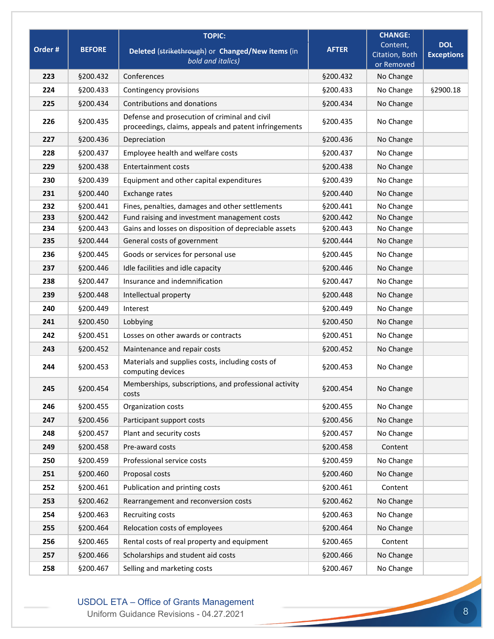| <b>DOL</b><br>Content,<br>Order #<br><b>BEFORE</b><br><b>AFTER</b><br>Deleted (strikethrough) or Changed/New items (in<br><b>Exceptions</b><br>Citation, Both<br>bold and italics)<br>or Removed<br>223<br>§200.432<br>§200.432<br>No Change<br>Conferences<br>224<br>§200.433<br>§200.433<br>No Change<br>§2900.18<br>Contingency provisions<br>Contributions and donations<br>No Change<br>225<br>§200.434<br>§200.434<br>Defense and prosecution of criminal and civil<br>226<br>No Change<br>§200.435<br>§200.435<br>proceedings, claims, appeals and patent infringements<br>227<br>§200.436<br>Depreciation<br>§200.436<br>No Change<br>Employee health and welfare costs<br>228<br>§200.437<br>§200.437<br>No Change<br>229<br>§200.438<br>Entertainment costs<br>§200.438<br>No Change<br>Equipment and other capital expenditures<br>230<br>§200.439<br>§200.439<br>No Change<br>231<br>§200.440<br>§200.440<br>Exchange rates<br>No Change<br>232<br>§200.441<br>No Change<br>Fines, penalties, damages and other settlements<br>§200.441<br>233<br>§200.442<br>Fund raising and investment management costs<br>§200.442<br>No Change<br>§200.443<br>Gains and losses on disposition of depreciable assets<br>§200.443<br>No Change<br>234<br>General costs of government<br>235<br>§200.444<br>§200.444<br>No Change<br>236<br>Goods or services for personal use<br>No Change<br>§200.445<br>§200.445<br>Idle facilities and idle capacity<br>No Change<br>237<br>§200.446<br>§200.446<br>Insurance and indemnification<br>238<br>§200.447<br>§200.447<br>No Change<br>Intellectual property<br>239<br>§200.448<br>§200.448<br>No Change<br>240<br>§200.449<br>§200.449<br>No Change<br>Interest<br>§200.450<br>No Change<br>241<br>§200.450<br>Lobbying<br>Losses on other awards or contracts<br>242<br>§200.451<br>§200.451<br>No Change<br>243<br>§200.452<br>Maintenance and repair costs<br>§200.452<br>No Change<br>Materials and supplies costs, including costs of<br>244<br>§200.453<br>§200.453<br>No Change<br>computing devices<br>Memberships, subscriptions, and professional activity<br>245<br>§200.454<br>No Change<br>§200.454<br>costs<br>246<br>§200.455<br>No Change<br>§200.455<br>Organization costs<br>247<br>§200.456<br>Participant support costs<br>§200.456<br>No Change<br>Plant and security costs<br>§200.457<br>No Change<br>248<br>§200.457<br>Pre-award costs<br>249<br>§200.458<br>§200.458<br>Content<br>Professional service costs<br>250<br>§200.459<br>§200.459<br>No Change<br>251<br>Proposal costs<br>§200.460<br>§200.460<br>No Change<br>252<br>§200.461<br>Publication and printing costs<br>§200.461<br>Content<br>253<br>§200.462<br>No Change<br>§200.462<br>Rearrangement and reconversion costs<br>254<br>§200.463<br>§200.463<br>Recruiting costs<br>No Change<br>Relocation costs of employees<br>255<br>§200.464<br>§200.464<br>No Change<br>256<br>Rental costs of real property and equipment<br>\$200.465<br>§200.465<br>Content<br>257<br>§200.466<br>Scholarships and student aid costs<br>\$200.466<br>No Change<br>258<br>Selling and marketing costs<br>§200.467<br>No Change<br>§200.467 |  | <b>TOPIC:</b> | <b>CHANGE:</b> |  |
|---------------------------------------------------------------------------------------------------------------------------------------------------------------------------------------------------------------------------------------------------------------------------------------------------------------------------------------------------------------------------------------------------------------------------------------------------------------------------------------------------------------------------------------------------------------------------------------------------------------------------------------------------------------------------------------------------------------------------------------------------------------------------------------------------------------------------------------------------------------------------------------------------------------------------------------------------------------------------------------------------------------------------------------------------------------------------------------------------------------------------------------------------------------------------------------------------------------------------------------------------------------------------------------------------------------------------------------------------------------------------------------------------------------------------------------------------------------------------------------------------------------------------------------------------------------------------------------------------------------------------------------------------------------------------------------------------------------------------------------------------------------------------------------------------------------------------------------------------------------------------------------------------------------------------------------------------------------------------------------------------------------------------------------------------------------------------------------------------------------------------------------------------------------------------------------------------------------------------------------------------------------------------------------------------------------------------------------------------------------------------------------------------------------------------------------------------------------------------------------------------------------------------------------------------------------------------------------------------------------------------------------------------------------------------------------------------------------------------------------------------------------------------------------------------------------------------------------------------------------------------------------------------------------------------------------------------------------------------------------------------------------------------------------------------------------------------------------------------------------------------------------------------------------------|--|---------------|----------------|--|
|                                                                                                                                                                                                                                                                                                                                                                                                                                                                                                                                                                                                                                                                                                                                                                                                                                                                                                                                                                                                                                                                                                                                                                                                                                                                                                                                                                                                                                                                                                                                                                                                                                                                                                                                                                                                                                                                                                                                                                                                                                                                                                                                                                                                                                                                                                                                                                                                                                                                                                                                                                                                                                                                                                                                                                                                                                                                                                                                                                                                                                                                                                                                                                     |  |               |                |  |
|                                                                                                                                                                                                                                                                                                                                                                                                                                                                                                                                                                                                                                                                                                                                                                                                                                                                                                                                                                                                                                                                                                                                                                                                                                                                                                                                                                                                                                                                                                                                                                                                                                                                                                                                                                                                                                                                                                                                                                                                                                                                                                                                                                                                                                                                                                                                                                                                                                                                                                                                                                                                                                                                                                                                                                                                                                                                                                                                                                                                                                                                                                                                                                     |  |               |                |  |
|                                                                                                                                                                                                                                                                                                                                                                                                                                                                                                                                                                                                                                                                                                                                                                                                                                                                                                                                                                                                                                                                                                                                                                                                                                                                                                                                                                                                                                                                                                                                                                                                                                                                                                                                                                                                                                                                                                                                                                                                                                                                                                                                                                                                                                                                                                                                                                                                                                                                                                                                                                                                                                                                                                                                                                                                                                                                                                                                                                                                                                                                                                                                                                     |  |               |                |  |
|                                                                                                                                                                                                                                                                                                                                                                                                                                                                                                                                                                                                                                                                                                                                                                                                                                                                                                                                                                                                                                                                                                                                                                                                                                                                                                                                                                                                                                                                                                                                                                                                                                                                                                                                                                                                                                                                                                                                                                                                                                                                                                                                                                                                                                                                                                                                                                                                                                                                                                                                                                                                                                                                                                                                                                                                                                                                                                                                                                                                                                                                                                                                                                     |  |               |                |  |
|                                                                                                                                                                                                                                                                                                                                                                                                                                                                                                                                                                                                                                                                                                                                                                                                                                                                                                                                                                                                                                                                                                                                                                                                                                                                                                                                                                                                                                                                                                                                                                                                                                                                                                                                                                                                                                                                                                                                                                                                                                                                                                                                                                                                                                                                                                                                                                                                                                                                                                                                                                                                                                                                                                                                                                                                                                                                                                                                                                                                                                                                                                                                                                     |  |               |                |  |
|                                                                                                                                                                                                                                                                                                                                                                                                                                                                                                                                                                                                                                                                                                                                                                                                                                                                                                                                                                                                                                                                                                                                                                                                                                                                                                                                                                                                                                                                                                                                                                                                                                                                                                                                                                                                                                                                                                                                                                                                                                                                                                                                                                                                                                                                                                                                                                                                                                                                                                                                                                                                                                                                                                                                                                                                                                                                                                                                                                                                                                                                                                                                                                     |  |               |                |  |
|                                                                                                                                                                                                                                                                                                                                                                                                                                                                                                                                                                                                                                                                                                                                                                                                                                                                                                                                                                                                                                                                                                                                                                                                                                                                                                                                                                                                                                                                                                                                                                                                                                                                                                                                                                                                                                                                                                                                                                                                                                                                                                                                                                                                                                                                                                                                                                                                                                                                                                                                                                                                                                                                                                                                                                                                                                                                                                                                                                                                                                                                                                                                                                     |  |               |                |  |
|                                                                                                                                                                                                                                                                                                                                                                                                                                                                                                                                                                                                                                                                                                                                                                                                                                                                                                                                                                                                                                                                                                                                                                                                                                                                                                                                                                                                                                                                                                                                                                                                                                                                                                                                                                                                                                                                                                                                                                                                                                                                                                                                                                                                                                                                                                                                                                                                                                                                                                                                                                                                                                                                                                                                                                                                                                                                                                                                                                                                                                                                                                                                                                     |  |               |                |  |
|                                                                                                                                                                                                                                                                                                                                                                                                                                                                                                                                                                                                                                                                                                                                                                                                                                                                                                                                                                                                                                                                                                                                                                                                                                                                                                                                                                                                                                                                                                                                                                                                                                                                                                                                                                                                                                                                                                                                                                                                                                                                                                                                                                                                                                                                                                                                                                                                                                                                                                                                                                                                                                                                                                                                                                                                                                                                                                                                                                                                                                                                                                                                                                     |  |               |                |  |
|                                                                                                                                                                                                                                                                                                                                                                                                                                                                                                                                                                                                                                                                                                                                                                                                                                                                                                                                                                                                                                                                                                                                                                                                                                                                                                                                                                                                                                                                                                                                                                                                                                                                                                                                                                                                                                                                                                                                                                                                                                                                                                                                                                                                                                                                                                                                                                                                                                                                                                                                                                                                                                                                                                                                                                                                                                                                                                                                                                                                                                                                                                                                                                     |  |               |                |  |
|                                                                                                                                                                                                                                                                                                                                                                                                                                                                                                                                                                                                                                                                                                                                                                                                                                                                                                                                                                                                                                                                                                                                                                                                                                                                                                                                                                                                                                                                                                                                                                                                                                                                                                                                                                                                                                                                                                                                                                                                                                                                                                                                                                                                                                                                                                                                                                                                                                                                                                                                                                                                                                                                                                                                                                                                                                                                                                                                                                                                                                                                                                                                                                     |  |               |                |  |
|                                                                                                                                                                                                                                                                                                                                                                                                                                                                                                                                                                                                                                                                                                                                                                                                                                                                                                                                                                                                                                                                                                                                                                                                                                                                                                                                                                                                                                                                                                                                                                                                                                                                                                                                                                                                                                                                                                                                                                                                                                                                                                                                                                                                                                                                                                                                                                                                                                                                                                                                                                                                                                                                                                                                                                                                                                                                                                                                                                                                                                                                                                                                                                     |  |               |                |  |
|                                                                                                                                                                                                                                                                                                                                                                                                                                                                                                                                                                                                                                                                                                                                                                                                                                                                                                                                                                                                                                                                                                                                                                                                                                                                                                                                                                                                                                                                                                                                                                                                                                                                                                                                                                                                                                                                                                                                                                                                                                                                                                                                                                                                                                                                                                                                                                                                                                                                                                                                                                                                                                                                                                                                                                                                                                                                                                                                                                                                                                                                                                                                                                     |  |               |                |  |
|                                                                                                                                                                                                                                                                                                                                                                                                                                                                                                                                                                                                                                                                                                                                                                                                                                                                                                                                                                                                                                                                                                                                                                                                                                                                                                                                                                                                                                                                                                                                                                                                                                                                                                                                                                                                                                                                                                                                                                                                                                                                                                                                                                                                                                                                                                                                                                                                                                                                                                                                                                                                                                                                                                                                                                                                                                                                                                                                                                                                                                                                                                                                                                     |  |               |                |  |
|                                                                                                                                                                                                                                                                                                                                                                                                                                                                                                                                                                                                                                                                                                                                                                                                                                                                                                                                                                                                                                                                                                                                                                                                                                                                                                                                                                                                                                                                                                                                                                                                                                                                                                                                                                                                                                                                                                                                                                                                                                                                                                                                                                                                                                                                                                                                                                                                                                                                                                                                                                                                                                                                                                                                                                                                                                                                                                                                                                                                                                                                                                                                                                     |  |               |                |  |
|                                                                                                                                                                                                                                                                                                                                                                                                                                                                                                                                                                                                                                                                                                                                                                                                                                                                                                                                                                                                                                                                                                                                                                                                                                                                                                                                                                                                                                                                                                                                                                                                                                                                                                                                                                                                                                                                                                                                                                                                                                                                                                                                                                                                                                                                                                                                                                                                                                                                                                                                                                                                                                                                                                                                                                                                                                                                                                                                                                                                                                                                                                                                                                     |  |               |                |  |
|                                                                                                                                                                                                                                                                                                                                                                                                                                                                                                                                                                                                                                                                                                                                                                                                                                                                                                                                                                                                                                                                                                                                                                                                                                                                                                                                                                                                                                                                                                                                                                                                                                                                                                                                                                                                                                                                                                                                                                                                                                                                                                                                                                                                                                                                                                                                                                                                                                                                                                                                                                                                                                                                                                                                                                                                                                                                                                                                                                                                                                                                                                                                                                     |  |               |                |  |
|                                                                                                                                                                                                                                                                                                                                                                                                                                                                                                                                                                                                                                                                                                                                                                                                                                                                                                                                                                                                                                                                                                                                                                                                                                                                                                                                                                                                                                                                                                                                                                                                                                                                                                                                                                                                                                                                                                                                                                                                                                                                                                                                                                                                                                                                                                                                                                                                                                                                                                                                                                                                                                                                                                                                                                                                                                                                                                                                                                                                                                                                                                                                                                     |  |               |                |  |
|                                                                                                                                                                                                                                                                                                                                                                                                                                                                                                                                                                                                                                                                                                                                                                                                                                                                                                                                                                                                                                                                                                                                                                                                                                                                                                                                                                                                                                                                                                                                                                                                                                                                                                                                                                                                                                                                                                                                                                                                                                                                                                                                                                                                                                                                                                                                                                                                                                                                                                                                                                                                                                                                                                                                                                                                                                                                                                                                                                                                                                                                                                                                                                     |  |               |                |  |
|                                                                                                                                                                                                                                                                                                                                                                                                                                                                                                                                                                                                                                                                                                                                                                                                                                                                                                                                                                                                                                                                                                                                                                                                                                                                                                                                                                                                                                                                                                                                                                                                                                                                                                                                                                                                                                                                                                                                                                                                                                                                                                                                                                                                                                                                                                                                                                                                                                                                                                                                                                                                                                                                                                                                                                                                                                                                                                                                                                                                                                                                                                                                                                     |  |               |                |  |
|                                                                                                                                                                                                                                                                                                                                                                                                                                                                                                                                                                                                                                                                                                                                                                                                                                                                                                                                                                                                                                                                                                                                                                                                                                                                                                                                                                                                                                                                                                                                                                                                                                                                                                                                                                                                                                                                                                                                                                                                                                                                                                                                                                                                                                                                                                                                                                                                                                                                                                                                                                                                                                                                                                                                                                                                                                                                                                                                                                                                                                                                                                                                                                     |  |               |                |  |
|                                                                                                                                                                                                                                                                                                                                                                                                                                                                                                                                                                                                                                                                                                                                                                                                                                                                                                                                                                                                                                                                                                                                                                                                                                                                                                                                                                                                                                                                                                                                                                                                                                                                                                                                                                                                                                                                                                                                                                                                                                                                                                                                                                                                                                                                                                                                                                                                                                                                                                                                                                                                                                                                                                                                                                                                                                                                                                                                                                                                                                                                                                                                                                     |  |               |                |  |
|                                                                                                                                                                                                                                                                                                                                                                                                                                                                                                                                                                                                                                                                                                                                                                                                                                                                                                                                                                                                                                                                                                                                                                                                                                                                                                                                                                                                                                                                                                                                                                                                                                                                                                                                                                                                                                                                                                                                                                                                                                                                                                                                                                                                                                                                                                                                                                                                                                                                                                                                                                                                                                                                                                                                                                                                                                                                                                                                                                                                                                                                                                                                                                     |  |               |                |  |
|                                                                                                                                                                                                                                                                                                                                                                                                                                                                                                                                                                                                                                                                                                                                                                                                                                                                                                                                                                                                                                                                                                                                                                                                                                                                                                                                                                                                                                                                                                                                                                                                                                                                                                                                                                                                                                                                                                                                                                                                                                                                                                                                                                                                                                                                                                                                                                                                                                                                                                                                                                                                                                                                                                                                                                                                                                                                                                                                                                                                                                                                                                                                                                     |  |               |                |  |
|                                                                                                                                                                                                                                                                                                                                                                                                                                                                                                                                                                                                                                                                                                                                                                                                                                                                                                                                                                                                                                                                                                                                                                                                                                                                                                                                                                                                                                                                                                                                                                                                                                                                                                                                                                                                                                                                                                                                                                                                                                                                                                                                                                                                                                                                                                                                                                                                                                                                                                                                                                                                                                                                                                                                                                                                                                                                                                                                                                                                                                                                                                                                                                     |  |               |                |  |
|                                                                                                                                                                                                                                                                                                                                                                                                                                                                                                                                                                                                                                                                                                                                                                                                                                                                                                                                                                                                                                                                                                                                                                                                                                                                                                                                                                                                                                                                                                                                                                                                                                                                                                                                                                                                                                                                                                                                                                                                                                                                                                                                                                                                                                                                                                                                                                                                                                                                                                                                                                                                                                                                                                                                                                                                                                                                                                                                                                                                                                                                                                                                                                     |  |               |                |  |
|                                                                                                                                                                                                                                                                                                                                                                                                                                                                                                                                                                                                                                                                                                                                                                                                                                                                                                                                                                                                                                                                                                                                                                                                                                                                                                                                                                                                                                                                                                                                                                                                                                                                                                                                                                                                                                                                                                                                                                                                                                                                                                                                                                                                                                                                                                                                                                                                                                                                                                                                                                                                                                                                                                                                                                                                                                                                                                                                                                                                                                                                                                                                                                     |  |               |                |  |
|                                                                                                                                                                                                                                                                                                                                                                                                                                                                                                                                                                                                                                                                                                                                                                                                                                                                                                                                                                                                                                                                                                                                                                                                                                                                                                                                                                                                                                                                                                                                                                                                                                                                                                                                                                                                                                                                                                                                                                                                                                                                                                                                                                                                                                                                                                                                                                                                                                                                                                                                                                                                                                                                                                                                                                                                                                                                                                                                                                                                                                                                                                                                                                     |  |               |                |  |
|                                                                                                                                                                                                                                                                                                                                                                                                                                                                                                                                                                                                                                                                                                                                                                                                                                                                                                                                                                                                                                                                                                                                                                                                                                                                                                                                                                                                                                                                                                                                                                                                                                                                                                                                                                                                                                                                                                                                                                                                                                                                                                                                                                                                                                                                                                                                                                                                                                                                                                                                                                                                                                                                                                                                                                                                                                                                                                                                                                                                                                                                                                                                                                     |  |               |                |  |
|                                                                                                                                                                                                                                                                                                                                                                                                                                                                                                                                                                                                                                                                                                                                                                                                                                                                                                                                                                                                                                                                                                                                                                                                                                                                                                                                                                                                                                                                                                                                                                                                                                                                                                                                                                                                                                                                                                                                                                                                                                                                                                                                                                                                                                                                                                                                                                                                                                                                                                                                                                                                                                                                                                                                                                                                                                                                                                                                                                                                                                                                                                                                                                     |  |               |                |  |
|                                                                                                                                                                                                                                                                                                                                                                                                                                                                                                                                                                                                                                                                                                                                                                                                                                                                                                                                                                                                                                                                                                                                                                                                                                                                                                                                                                                                                                                                                                                                                                                                                                                                                                                                                                                                                                                                                                                                                                                                                                                                                                                                                                                                                                                                                                                                                                                                                                                                                                                                                                                                                                                                                                                                                                                                                                                                                                                                                                                                                                                                                                                                                                     |  |               |                |  |
|                                                                                                                                                                                                                                                                                                                                                                                                                                                                                                                                                                                                                                                                                                                                                                                                                                                                                                                                                                                                                                                                                                                                                                                                                                                                                                                                                                                                                                                                                                                                                                                                                                                                                                                                                                                                                                                                                                                                                                                                                                                                                                                                                                                                                                                                                                                                                                                                                                                                                                                                                                                                                                                                                                                                                                                                                                                                                                                                                                                                                                                                                                                                                                     |  |               |                |  |
|                                                                                                                                                                                                                                                                                                                                                                                                                                                                                                                                                                                                                                                                                                                                                                                                                                                                                                                                                                                                                                                                                                                                                                                                                                                                                                                                                                                                                                                                                                                                                                                                                                                                                                                                                                                                                                                                                                                                                                                                                                                                                                                                                                                                                                                                                                                                                                                                                                                                                                                                                                                                                                                                                                                                                                                                                                                                                                                                                                                                                                                                                                                                                                     |  |               |                |  |
|                                                                                                                                                                                                                                                                                                                                                                                                                                                                                                                                                                                                                                                                                                                                                                                                                                                                                                                                                                                                                                                                                                                                                                                                                                                                                                                                                                                                                                                                                                                                                                                                                                                                                                                                                                                                                                                                                                                                                                                                                                                                                                                                                                                                                                                                                                                                                                                                                                                                                                                                                                                                                                                                                                                                                                                                                                                                                                                                                                                                                                                                                                                                                                     |  |               |                |  |
|                                                                                                                                                                                                                                                                                                                                                                                                                                                                                                                                                                                                                                                                                                                                                                                                                                                                                                                                                                                                                                                                                                                                                                                                                                                                                                                                                                                                                                                                                                                                                                                                                                                                                                                                                                                                                                                                                                                                                                                                                                                                                                                                                                                                                                                                                                                                                                                                                                                                                                                                                                                                                                                                                                                                                                                                                                                                                                                                                                                                                                                                                                                                                                     |  |               |                |  |
|                                                                                                                                                                                                                                                                                                                                                                                                                                                                                                                                                                                                                                                                                                                                                                                                                                                                                                                                                                                                                                                                                                                                                                                                                                                                                                                                                                                                                                                                                                                                                                                                                                                                                                                                                                                                                                                                                                                                                                                                                                                                                                                                                                                                                                                                                                                                                                                                                                                                                                                                                                                                                                                                                                                                                                                                                                                                                                                                                                                                                                                                                                                                                                     |  |               |                |  |
|                                                                                                                                                                                                                                                                                                                                                                                                                                                                                                                                                                                                                                                                                                                                                                                                                                                                                                                                                                                                                                                                                                                                                                                                                                                                                                                                                                                                                                                                                                                                                                                                                                                                                                                                                                                                                                                                                                                                                                                                                                                                                                                                                                                                                                                                                                                                                                                                                                                                                                                                                                                                                                                                                                                                                                                                                                                                                                                                                                                                                                                                                                                                                                     |  |               |                |  |
|                                                                                                                                                                                                                                                                                                                                                                                                                                                                                                                                                                                                                                                                                                                                                                                                                                                                                                                                                                                                                                                                                                                                                                                                                                                                                                                                                                                                                                                                                                                                                                                                                                                                                                                                                                                                                                                                                                                                                                                                                                                                                                                                                                                                                                                                                                                                                                                                                                                                                                                                                                                                                                                                                                                                                                                                                                                                                                                                                                                                                                                                                                                                                                     |  |               |                |  |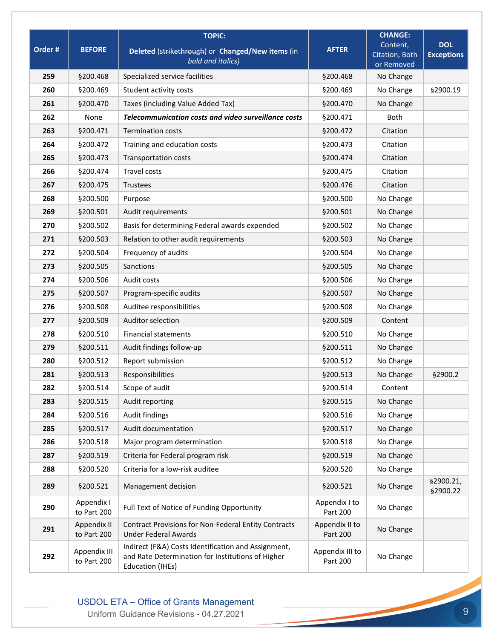|         |                             | <b>TOPIC:</b>                                                                                                                       |                             | <b>CHANGE:</b>               |                        |
|---------|-----------------------------|-------------------------------------------------------------------------------------------------------------------------------------|-----------------------------|------------------------------|------------------------|
| Order # | <b>BEFORE</b>               | Deleted (strikethrough) or Changed/New items (in                                                                                    | <b>AFTER</b>                | Content,                     | <b>DOL</b>             |
|         |                             | bold and italics)                                                                                                                   |                             | Citation, Both<br>or Removed | <b>Exceptions</b>      |
| 259     | §200.468                    | Specialized service facilities                                                                                                      | §200.468                    | No Change                    |                        |
| 260     | §200.469                    | Student activity costs                                                                                                              | §200.469                    | No Change                    | §2900.19               |
| 261     | §200.470                    | Taxes (including Value Added Tax)                                                                                                   | §200.470                    | No Change                    |                        |
| 262     | None                        | Telecommunication costs and video surveillance costs                                                                                | §200.471                    | <b>Both</b>                  |                        |
| 263     | §200.471                    | <b>Termination costs</b>                                                                                                            | §200.472                    | Citation                     |                        |
| 264     | §200.472                    | Training and education costs                                                                                                        | §200.473                    | Citation                     |                        |
| 265     | §200.473                    | <b>Transportation costs</b>                                                                                                         | §200.474                    | Citation                     |                        |
| 266     | §200.474                    | <b>Travel costs</b>                                                                                                                 | §200.475                    | Citation                     |                        |
| 267     | §200.475                    | Trustees                                                                                                                            | §200.476                    | Citation                     |                        |
| 268     | §200.500                    | Purpose                                                                                                                             | §200.500                    | No Change                    |                        |
| 269     | §200.501                    | Audit requirements                                                                                                                  | §200.501                    | No Change                    |                        |
| 270     | §200.502                    | Basis for determining Federal awards expended                                                                                       | §200.502                    | No Change                    |                        |
| 271     | §200.503                    | Relation to other audit requirements                                                                                                | §200.503                    | No Change                    |                        |
| 272     | §200.504                    | Frequency of audits                                                                                                                 | §200.504                    | No Change                    |                        |
| 273     | §200.505                    | Sanctions                                                                                                                           | §200.505                    | No Change                    |                        |
| 274     | §200.506                    | Audit costs                                                                                                                         | §200.506                    | No Change                    |                        |
| 275     | §200.507                    | Program-specific audits                                                                                                             | §200.507                    | No Change                    |                        |
| 276     | §200.508                    | Auditee responsibilities                                                                                                            | §200.508                    | No Change                    |                        |
| 277     | §200.509                    | Auditor selection                                                                                                                   | §200.509                    | Content                      |                        |
| 278     | §200.510                    | <b>Financial statements</b>                                                                                                         | §200.510                    | No Change                    |                        |
| 279     | §200.511                    | Audit findings follow-up                                                                                                            | §200.511                    | No Change                    |                        |
| 280     | §200.512                    | Report submission                                                                                                                   | §200.512                    | No Change                    |                        |
| 281     | §200.513                    | Responsibilities                                                                                                                    | §200.513                    | No Change                    | §2900.2                |
| 282     | §200.514                    | Scope of audit                                                                                                                      | §200.514                    | Content                      |                        |
| 283     | §200.515                    | Audit reporting                                                                                                                     | §200.515                    | No Change                    |                        |
| 284     | §200.516                    | Audit findings                                                                                                                      | §200.516                    | No Change                    |                        |
| 285     | §200.517                    | Audit documentation                                                                                                                 | §200.517                    | No Change                    |                        |
| 286     | §200.518                    | Major program determination                                                                                                         | §200.518                    | No Change                    |                        |
| 287     | §200.519                    | Criteria for Federal program risk                                                                                                   | §200.519                    | No Change                    |                        |
| 288     | §200.520                    | Criteria for a low-risk auditee                                                                                                     | §200.520                    | No Change                    |                        |
| 289     | §200.521                    | Management decision                                                                                                                 | §200.521                    | No Change                    | §2900.21,<br>\$2900.22 |
| 290     | Appendix I<br>to Part 200   | Full Text of Notice of Funding Opportunity                                                                                          | Appendix I to<br>Part 200   | No Change                    |                        |
| 291     | Appendix II<br>to Part 200  | <b>Contract Provisions for Non-Federal Entity Contracts</b><br><b>Under Federal Awards</b>                                          | Appendix II to<br>Part 200  | No Change                    |                        |
| 292     | Appendix III<br>to Part 200 | Indirect (F&A) Costs Identification and Assignment,<br>and Rate Determination for Institutions of Higher<br><b>Education (IHEs)</b> | Appendix III to<br>Part 200 | No Change                    |                        |